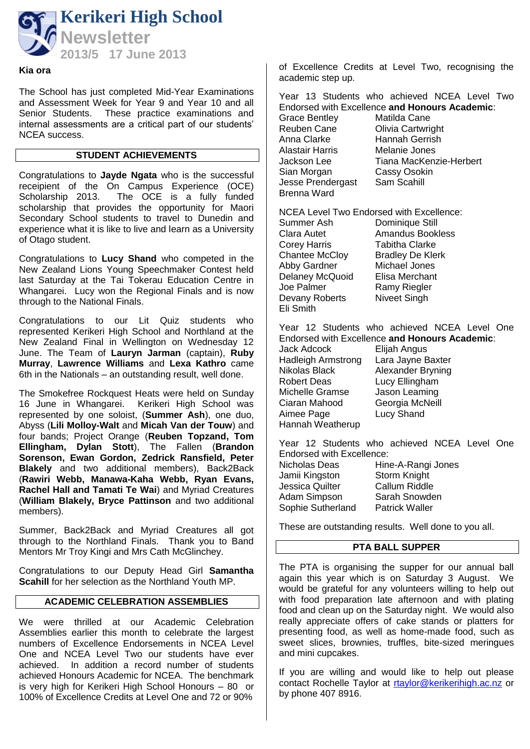

#### **Kia ora**

The School has just completed Mid-Year Examinations and Assessment Week for Year 9 and Year 10 and all Senior Students. These practice examinations and internal assessments are a critical part of our students' NCEA success.

#### **STUDENT ACHIEVEMENTS**

Congratulations to **Jayde Ngata** who is the successful receipient of the On Campus Experience (OCE) Scholarship 2013. The OCE is a fully funded scholarship that provides the opportunity for Maori Secondary School students to travel to Dunedin and experience what it is like to live and learn as a University of Otago student.

Congratulations to **Lucy Shand** who competed in the New Zealand Lions Young Speechmaker Contest held last Saturday at the Tai Tokerau Education Centre in Whangarei. Lucy won the Regional Finals and is now through to the National Finals.

Congratulations to our Lit Quiz students who represented Kerikeri High School and Northland at the New Zealand Final in Wellington on Wednesday 12 June. The Team of **Lauryn Jarman** (captain), **Ruby Murray**, **Lawrence Williams** and **Lexa Kathro** came 6th in the Nationals – an outstanding result, well done.

The Smokefree Rockquest Heats were held on Sunday 16 June in Whangarei. Kerikeri High School was represented by one soloist, (**Summer Ash**), one duo, Abyss (**Lili Molloy-Walt** and **Micah Van der Touw**) and four bands; Project Orange (**Reuben Topzand, Tom Ellingham, Dylan Stott**), The Fallen (**Brandon Sorenson, Ewan Gordon, Zedrick Ransfield, Peter Blakely** and two additional members), Back2Back (**Rawiri Webb, Manawa-Kaha Webb, Ryan Evans, Rachel Hall and Tamati Te Wai**) and Myriad Creatures (**William Blakely, Bryce Pattinson** and two additional members).

Summer, Back2Back and Myriad Creatures all got through to the Northland Finals. Thank you to Band Mentors Mr Troy Kingi and Mrs Cath McGlinchey.

Congratulations to our Deputy Head Girl **Samantha Scahill** for her selection as the Northland Youth MP.

#### **ACADEMIC CELEBRATION ASSEMBLIES**

We were thrilled at our Academic Celebration Assemblies earlier this month to celebrate the largest numbers of Excellence Endorsements in NCEA Level One and NCEA Level Two our students have ever achieved. In addition a record number of students achieved Honours Academic for NCEA. The benchmark is very high for Kerikeri High School Honours – 80 or 100% of Excellence Credits at Level One and 72 or 90%

of Excellence Credits at Level Two, recognising the academic step up.

Year 13 Students who achieved NCEA Level Two Endorsed with Excellence **and Honours Academic**: Grace Bentley Matilda Cane<br>Reuben Cane Clivia Cartwrig **Olivia Cartwright** Anna Clarke Hannah Gerrish<br>Alastair Harris Melanie Jones Alastair Harris<br>Jackson Lee Jackson Lee Tiana MacKenzie-Herbert<br>Sian Morgan Cassy Osokin Cassy Osokin<br>Sam Scahill Jesse Prendergast Brenna Ward

NCEA Level Two Endorsed with Excellence: Summer Ash Dominique Still<br>Clara Autet Amandus Book Amandus Bookless<br>Tabitha Clarke Corey Harris Chantee McCloy Bradley De Klerk Abby Gardner Michael Jones Delaney McQuoid Elisa Merchant Joe Palmer Famy Riegler<br>Devany Roberts Niveet Singh Devany Roberts Eli Smith

Year 12 Students who achieved NCEA Level One Endorsed with Excellence **and Honours Academic**:

Jack Adcock Elijah Angus Hadleigh Armstrong Lara Jayne Baxter Nikolas Black Alexander Bryning Robert Deas Lucy Ellingham Michelle Gramse Jason Leaming<br>Ciaran Mahood Georgia McNeill Aimee Page Hannah Weatherup

Georgia McNeill<br>Lucy Shand

Year 12 Students who achieved NCEA Level One Endorsed with Excellence: Nicholas Deas Hine-A-Rangi Jones

Jamii Kingston Storm Knight Jessica Quilter Adam Simpson Sarah Snowden<br>Sophie Sutherland Patrick Waller Sophie Sutherland

These are outstanding results. Well done to you all.

#### **PTA BALL SUPPER**

The PTA is organising the supper for our annual ball again this year which is on Saturday 3 August. We would be grateful for any volunteers willing to help out with food preparation late afternoon and with plating food and clean up on the Saturday night. We would also really appreciate offers of cake stands or platters for presenting food, as well as home-made food, such as sweet slices, brownies, truffles, bite-sized meringues and mini cupcakes.

If you are willing and would like to help out please contact Rochelle Taylor at [rtaylor@kerikerihigh.ac.nz](mailto:rtaylor@kerikerihigh.ac.nz) or by phone 407 8916.